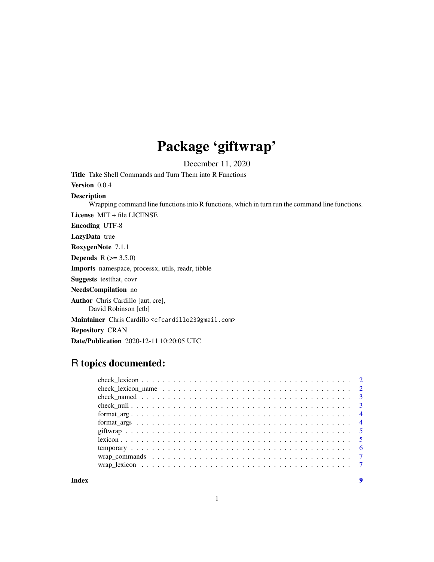## Package 'giftwrap'

December 11, 2020

<span id="page-0-0"></span>Title Take Shell Commands and Turn Them into R Functions

Version 0.0.4

Description

Wrapping command line functions into R functions, which in turn run the command line functions.

License MIT + file LICENSE

Encoding UTF-8

LazyData true

RoxygenNote 7.1.1

**Depends** R  $(>= 3.5.0)$ 

Imports namespace, processx, utils, readr, tibble

Suggests testthat, covr

NeedsCompilation no

Author Chris Cardillo [aut, cre],

David Robinson [ctb]

Maintainer Chris Cardillo <cfcardillo23@gmail.com>

Repository CRAN

Date/Publication 2020-12-11 10:20:05 UTC

## R topics documented:

| check_lexicon_name $\ldots \ldots \ldots \ldots \ldots \ldots \ldots \ldots \ldots \ldots \ldots \ldots \ldots 2$ |  |  |  |  |  |  |  |  |  |  |  |  |  |  |  |  |  |
|-------------------------------------------------------------------------------------------------------------------|--|--|--|--|--|--|--|--|--|--|--|--|--|--|--|--|--|
|                                                                                                                   |  |  |  |  |  |  |  |  |  |  |  |  |  |  |  |  |  |
|                                                                                                                   |  |  |  |  |  |  |  |  |  |  |  |  |  |  |  |  |  |
|                                                                                                                   |  |  |  |  |  |  |  |  |  |  |  |  |  |  |  |  |  |
|                                                                                                                   |  |  |  |  |  |  |  |  |  |  |  |  |  |  |  |  |  |
|                                                                                                                   |  |  |  |  |  |  |  |  |  |  |  |  |  |  |  |  |  |
|                                                                                                                   |  |  |  |  |  |  |  |  |  |  |  |  |  |  |  |  |  |
|                                                                                                                   |  |  |  |  |  |  |  |  |  |  |  |  |  |  |  |  |  |
|                                                                                                                   |  |  |  |  |  |  |  |  |  |  |  |  |  |  |  |  |  |
|                                                                                                                   |  |  |  |  |  |  |  |  |  |  |  |  |  |  |  |  |  |
|                                                                                                                   |  |  |  |  |  |  |  |  |  |  |  |  |  |  |  |  |  |

**Index** [9](#page-8-0)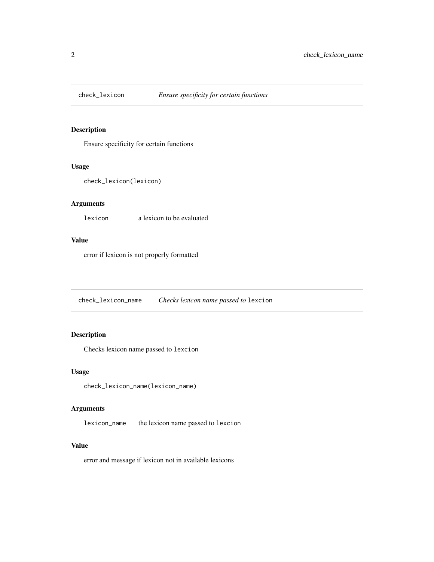<span id="page-1-0"></span>

Ensure specificity for certain functions

#### Usage

```
check_lexicon(lexicon)
```
#### Arguments

lexicon a lexicon to be evaluated

#### Value

error if lexicon is not properly formatted

check\_lexicon\_name *Checks lexicon name passed to* lexcion

#### Description

Checks lexicon name passed to lexcion

#### Usage

check\_lexicon\_name(lexicon\_name)

#### Arguments

lexicon\_name the lexicon name passed to lexcion

#### Value

error and message if lexicon not in available lexicons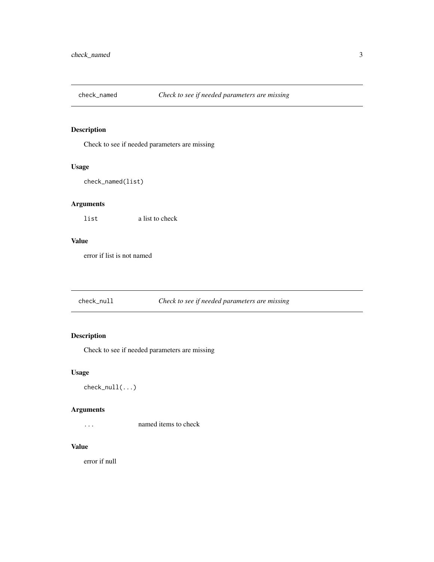<span id="page-2-0"></span>

Check to see if needed parameters are missing

#### Usage

check\_named(list)

#### Arguments

list a list to check

#### Value

error if list is not named

check\_null *Check to see if needed parameters are missing*

#### Description

Check to see if needed parameters are missing

#### Usage

check\_null(...)

#### Arguments

... named items to check

#### Value

error if null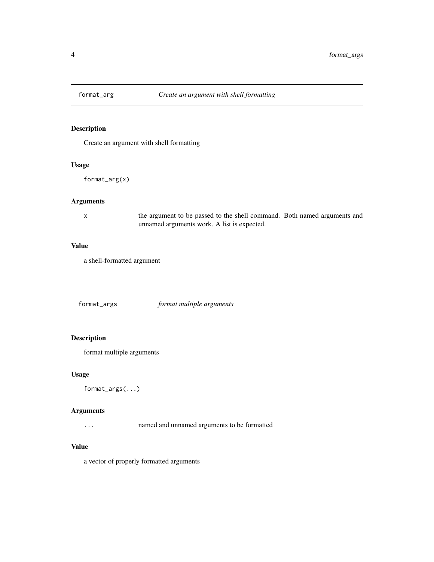<span id="page-3-0"></span>

Create an argument with shell formatting

#### Usage

format\_arg(x)

#### Arguments

x the argument to be passed to the shell command. Both named arguments and unnamed arguments work. A list is expected.

#### Value

a shell-formatted argument

format\_args *format multiple arguments*

#### Description

format multiple arguments

#### Usage

format\_args(...)

#### Arguments

... named and unnamed arguments to be formatted

#### Value

a vector of properly formatted arguments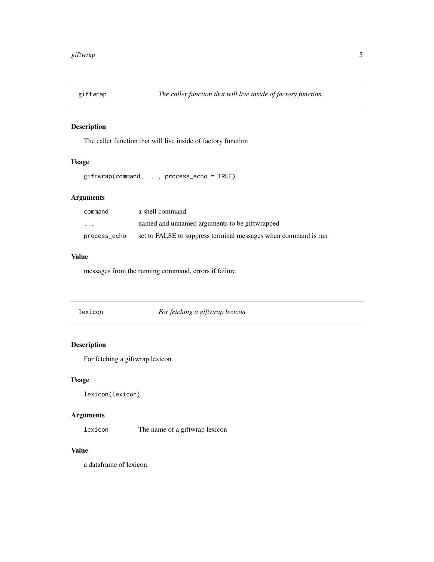<span id="page-4-0"></span>

The caller function that will live inside of factory function

#### Usage

giftwrap(command, ..., process\_echo = TRUE)

#### Arguments

| command      | a shell command                                                |
|--------------|----------------------------------------------------------------|
| .            | named and unnamed arguments to be giftwrapped                  |
| process_echo | set to FALSE to suppress terminal messages when command is run |

#### Value

messages from the running command, errors if failure

lexicon *For fetching a giftwrap lexicon*

#### Description

For fetching a giftwrap lexicon

#### Usage

lexicon(lexicon)

#### Arguments

lexicon The name of a giftwrap lexicon

#### Value

a dataframe of lexicon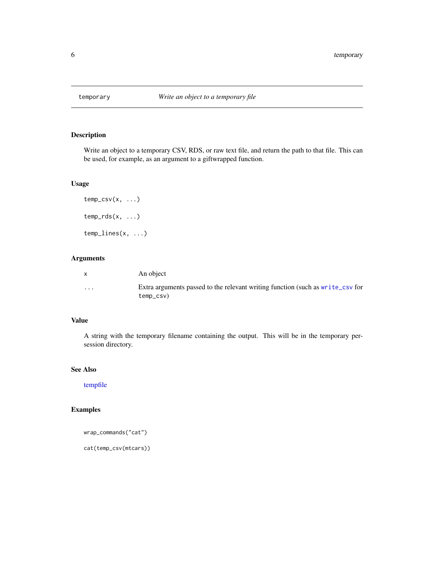<span id="page-5-0"></span>

Write an object to a temporary CSV, RDS, or raw text file, and return the path to that file. This can be used, for example, as an argument to a giftwrapped function.

#### Usage

```
temp\_csv(x, \ldots)temp_rds(x, \ldots)temp_lines(x, ...)
```
#### Arguments

| X        | An object                                                                                   |
|----------|---------------------------------------------------------------------------------------------|
| $\cdots$ | Extra arguments passed to the relevant writing function (such as write_csv for<br>temp_csv) |

#### Value

A string with the temporary filename containing the output. This will be in the temporary persession directory.

#### See Also

[tempfile](#page-0-0)

#### Examples

```
wrap_commands("cat")
```
cat(temp\_csv(mtcars))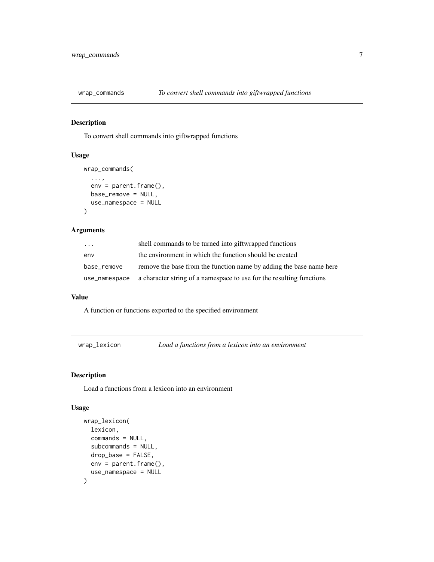<span id="page-6-0"></span>

To convert shell commands into giftwrapped functions

#### Usage

```
wrap_commands(
  ...,
 env = parent.frame(),
 base_remove = NULL,
 use_namespace = NULL
)
```
#### Arguments

| .             | shell commands to be turned into giftwrapped functions               |
|---------------|----------------------------------------------------------------------|
| env           | the environment in which the function should be created              |
| base remove   | remove the base from the function name by adding the base name here  |
| use_namespace | a character string of a namespace to use for the resulting functions |

#### Value

A function or functions exported to the specified environment

wrap\_lexicon *Load a functions from a lexicon into an environment*

#### Description

Load a functions from a lexicon into an environment

#### Usage

```
wrap_lexicon(
  lexicon,
  commands = NULL,
  subcommands = NULL,
  drop_base = FALSE,
  env = parent.frame(),
  use_namespace = NULL
\mathcal{E}
```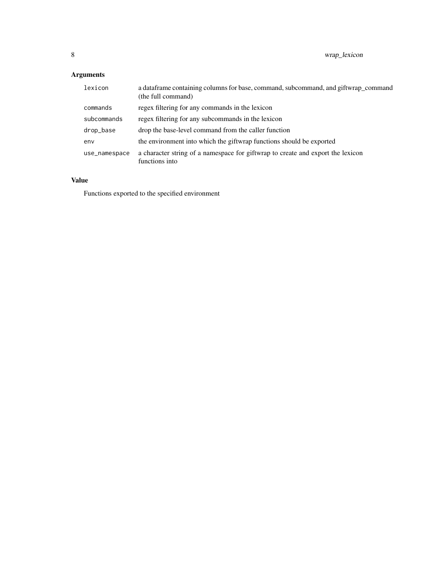### Arguments

| lexicon       | a data frame containing columns for base, command, subcommand, and giftwrap command<br>(the full command) |
|---------------|-----------------------------------------------------------------------------------------------------------|
| commands      | regex filtering for any commands in the lexicon                                                           |
| subcommands   | regex filtering for any subcommands in the lexicon                                                        |
| drop_base     | drop the base-level command from the caller function                                                      |
| env           | the environment into which the giftwrap functions should be exported                                      |
| use_namespace | a character string of a namespace for giftwrap to create and export the lexicon<br>functions into         |

#### Value

Functions exported to the specified environment